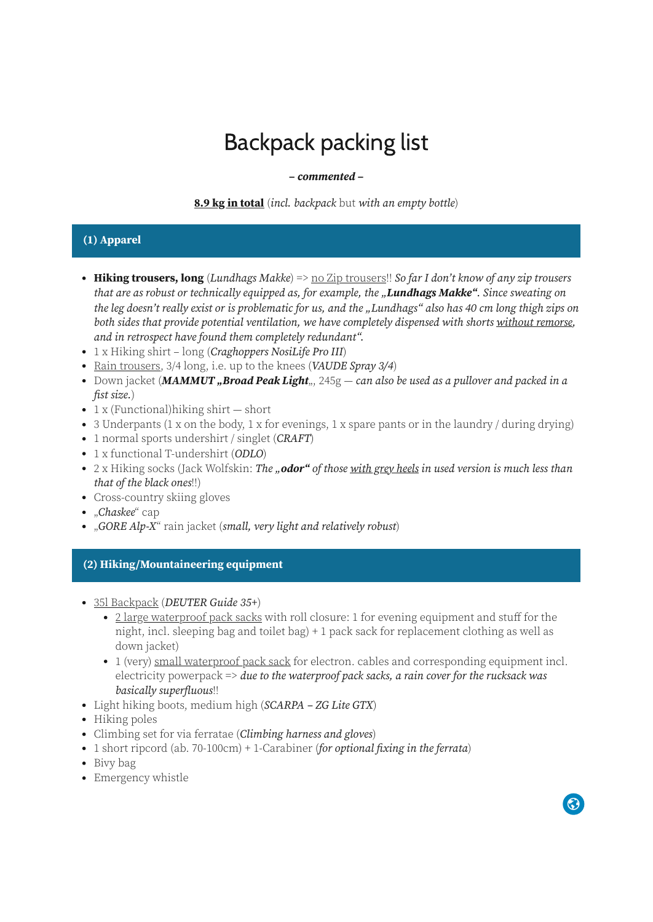# Backpack packing list

#### **– commented –**

**8.9 kg in total** (incl. backpack but with an empty bottle)

# **(1) Apparel**

- **Hiking trousers, long** (Lundhags Makke) => no Zip trousers!! So far I don't know of any zip trousers that are as robust or technically equipped as, for example, the "**Lundhags Makke"**. Since sweating on the leg doesn't really exist or is problematic for us, and the "Lundhags" also has 40 cm long thigh zips on both sides that provide potential ventilation, we have completely dispensed with shorts without remorse, and in retrospect have found them completely redundant".
- 1 x Hiking shirt long (*Craghoppers NosiLife Pro III*)
- Rain trousers, 3/4 long, i.e. up to the knees (VAUDE Spray 3/4)
- Down jacket (**MAMMUT** "Broad Peak Light<sub>"</sub>, 245g can also be used as a pullover and packed in a fist size.)
- $1 \times$  (Functional) hiking shirt short
- $\bullet$  3 Underpants (1 x on the body, 1 x for evenings, 1 x spare pants or in the laundry / during drying)
- 1 normal sports undershirt / singlet (CRAFT)
- 1 x functional T-undershirt (ODLO)
- 2 x Hiking socks (Jack Wolfskin: The "**odor"** of those with grey heels in used version is much less than that of the black ones!!)
- Cross-country skiing gloves
- "Chaskee" cap
- . "GORE Alp-X" rain jacket (small, very light and relatively robust)

### **(2) Hiking/Mountaineering equipment**

- 35l Backpack (DEUTER Guide 35+)
	- 2 large waterproof pack sacks with roll closure: 1 for evening equipment and stuff for the night, incl. sleeping bag and toilet bag) + 1 pack sack for replacement clothing as well as down jacket)
	- 1 (very) small waterproof pack sack for electron. cables and corresponding equipment incl. electricity powerpack  $\Rightarrow$  due to the waterproof pack sacks, a rain cover for the rucksack was basically superfluous!!
- Light hiking boots, medium high (SCARPA ZG Lite GTX)
- Hiking poles
- Climbing set for via ferratae (*Climbing harness and gloves*)
- 1 short ripcord (ab. 70-100cm) + 1-Carabiner (for optional fixing in the ferrata)
- Bivy bag
- Emergency whistle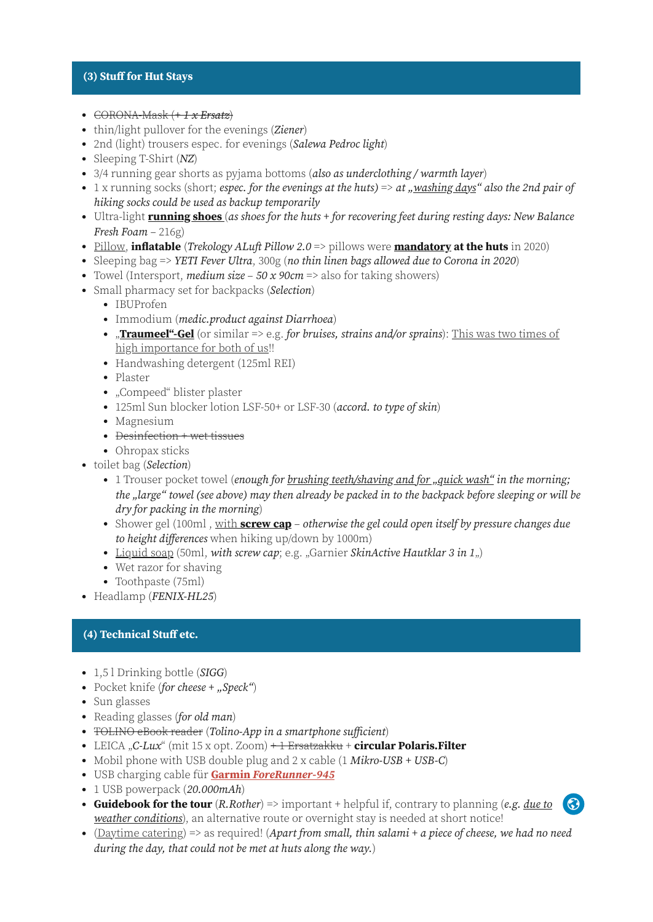#### **(3) Stuff for Hut Stays**

- $\textdegree$  CORONA-Mask  $(+1 \times \textdegree{Ersatz})$
- thin/light pullover for the evenings (Ziener)
- 2nd (light) trousers espec. for evenings (Salewa Pedroc light)
- Sleeping T-Shirt  $(NZ)$
- 3/4 running gear shorts as pyjama bottoms (also as underclothing / warmth layer)
- 1 x running socks (short; espec. for the evenings at the huts) => at "washing days" also the 2nd pair of hiking socks could be used as backup temporarily
- Ultra-light **running shoes** (as shoes for the huts + for recovering feet during resting days: New Balance Fresh Foam – 216g)
- Pillow, **inflatable** (Trekology ALuft Pillow 2.0 => pillows were **mandatory at the huts** in 2020)
- Sleeping bag => YETI Fever Ultra, 300g (no thin linen bags allowed due to Corona in 2020)
- Towel (Intersport, *medium size 50 x 90cm* => also for taking showers)
- Small pharmacy set for backpacks (Selection)
	- IBUProfen
	- Immodium (*medic.product against Diarrhoea*)
	- **Traumeel"-Gel** (or similar => e.g. for bruises, strains and/or sprains): This was two times of high importance for both of us!!
	- Handwashing detergent (125ml REI)
	- Plaster
	- "Compeed" blister plaster
	- 125ml Sun blocker lotion LSF-50+ or LSF-30 (accord. to type of skin)
	- Magnesium
	- Desinfection + wet tissues
	- Ohropax sticks
- toilet bag (Selection)
	- 1 Trouser pocket towel (enough for brushing teeth/shaving and for "quick wash" in the morning; the "large" towel (see above) may then already be packed in to the backpack before sleeping or will be dry for packing in the morning)
	- Shower gel (100ml, with **screw cap** otherwise the gel could open itself by pressure changes due to height differences when hiking up/down by 1000m)
	- Liquid soap (50ml, with screw cap; e.g. "Garnier SkinActive Hautklar 3 in  $1_{n}$ )
	- Wet razor for shaving
	- Toothpaste (75ml)
- Headlamp (FENIX-HL25)

## **(4) Technical Stuff etc.**

- 1,5 l Drinking bottle (SIGG)
- Pocket knife (for cheese  $+$  "Speck")
- Sun glasses
- Reading glasses (for old man)
- TOLINO eBook reader (Tolino-App in a smartphone sufficient)
- LEICA "C-Lux" (mit 15 x opt. Zoom) + 1 Ersatzakku + **circular Polaris. Filter**
- Mobil phone with USB double plug and  $2 \times$  cable  $(1 \textit{Mikro-USB} + \textit{USB-C})$
- USB charging cable für **Garmin ForeRunner-945**
- 1 USB powerpack (20.000mAh)
- **Guidebook for the tour** (R.Rother) => important + helpful if, contrary to planning (e.g. due to weather conditions), an alternative route or overnight stay is needed at short notice!  $\odot$
- (Daytime catering) => as required! (Apart from small, thin salami + a piece of cheese, we had no need during the day, that could not be met at huts along the way.)